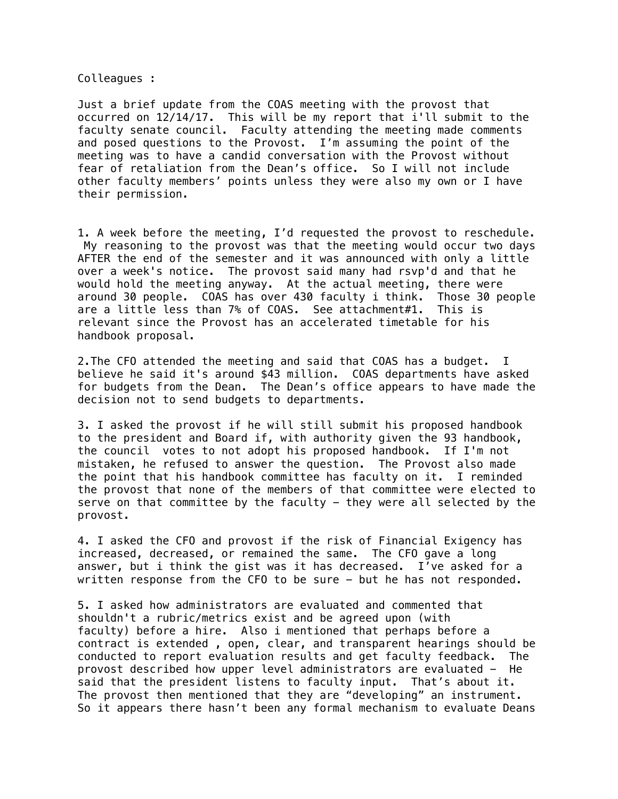Colleagues :

Just a brief update from the COAS meeting with the provost that occurred on 12/14/17. This will be my report that i'll submit to the faculty senate council. Faculty attending the meeting made comments and posed questions to the Provost. I'm assuming the point of the meeting was to have a candid conversation with the Provost without fear of retaliation from the Dean's office. So I will not include other faculty members' points unless they were also my own or I have their permission.

1. A week before the meeting, I'd requested the provost to reschedule. My reasoning to the provost was that the meeting would occur two days AFTER the end of the semester and it was announced with only a little over a week's notice. The provost said many had rsvp'd and that he would hold the meeting anyway. At the actual meeting, there were around 30 people. COAS has over 430 faculty i think. Those 30 people are a little less than 7% of COAS. See attachment#1. This is relevant since the Provost has an accelerated timetable for his handbook proposal.

2.The CFO attended the meeting and said that COAS has a budget. I believe he said it's around \$43 million. COAS departments have asked for budgets from the Dean. The Dean's office appears to have made the decision not to send budgets to departments.

3. I asked the provost if he will still submit his proposed handbook to the president and Board if, with authority given the 93 handbook, the council votes to not adopt his proposed handbook. If I'm not mistaken, he refused to answer the question. The Provost also made the point that his handbook committee has faculty on it. I reminded the provost that none of the members of that committee were elected to serve on that committee by the faculty  $-$  they were all selected by the provost.

4. I asked the CFO and provost if the risk of Financial Exigency has increased, decreased, or remained the same. The CFO gave a long answer, but i think the gist was it has decreased. I've asked for a written response from the CFO to be sure - but he has not responded.

5. I asked how administrators are evaluated and commented that shouldn't a rubric/metrics exist and be agreed upon (with faculty) before a hire. Also i mentioned that perhaps before a contract is extended , open, clear, and transparent hearings should be conducted to report evaluation results and get faculty feedback. The provost described how upper level administrators are evaluated - He said that the president listens to faculty input. That's about it. The provost then mentioned that they are "developing" an instrument. So it appears there hasn't been any formal mechanism to evaluate Deans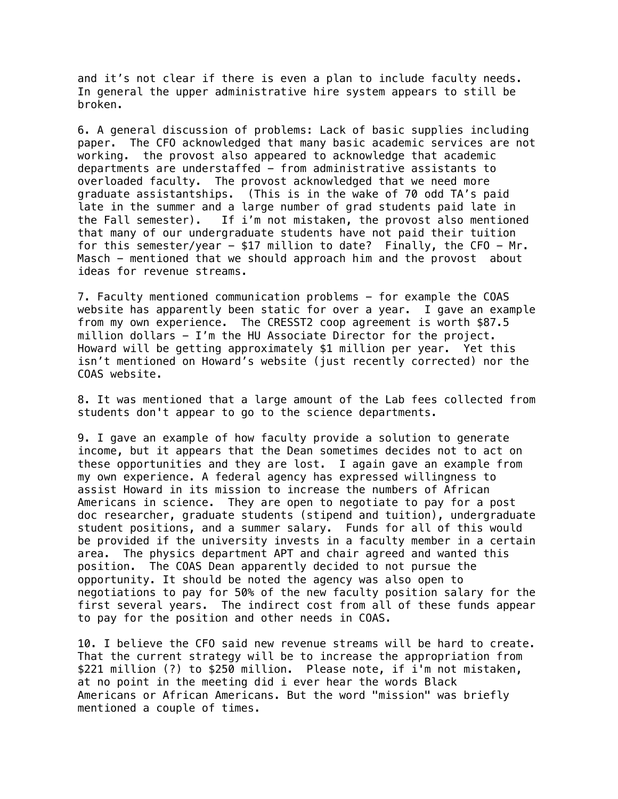and it's not clear if there is even a plan to include faculty needs. In general the upper administrative hire system appears to still be broken.

6. A general discussion of problems: Lack of basic supplies including paper. The CFO acknowledged that many basic academic services are not working. the provost also appeared to acknowledge that academic departments are understaffed - from administrative assistants to overloaded faculty. The provost acknowledged that we need more graduate assistantships. (This is in the wake of 70 odd TA's paid late in the summer and a large number of grad students paid late in the Fall semester). If i'm not mistaken, the provost also mentioned that many of our undergraduate students have not paid their tuition for this semester/year  $-$  \$17 million to date? Finally, the CFO  $-$  Mr. Masch - mentioned that we should approach him and the provost about ideas for revenue streams.

7. Faculty mentioned communication problems - for example the COAS website has apparently been static for over a year. I gave an example from my own experience. The CRESST2 coop agreement is worth \$87.5 million dollars - I'm the HU Associate Director for the project. Howard will be getting approximately \$1 million per year. Yet this isn't mentioned on Howard's website (just recently corrected) nor the COAS website.

8. It was mentioned that a large amount of the Lab fees collected from students don't appear to go to the science departments.

9. I gave an example of how faculty provide a solution to generate income, but it appears that the Dean sometimes decides not to act on these opportunities and they are lost. I again gave an example from my own experience. A federal agency has expressed willingness to assist Howard in its mission to increase the numbers of African Americans in science. They are open to negotiate to pay for a post doc researcher, graduate students (stipend and tuition), undergraduate student positions, and a summer salary. Funds for all of this would be provided if the university invests in a faculty member in a certain area. The physics department APT and chair agreed and wanted this position. The COAS Dean apparently decided to not pursue the opportunity. It should be noted the agency was also open to negotiations to pay for 50% of the new faculty position salary for the first several years. The indirect cost from all of these funds appear to pay for the position and other needs in COAS.

10. I believe the CFO said new revenue streams will be hard to create. That the current strategy will be to increase the appropriation from \$221 million (?) to \$250 million. Please note, if i'm not mistaken, at no point in the meeting did i ever hear the words Black Americans or African Americans. But the word "mission" was briefly mentioned a couple of times.